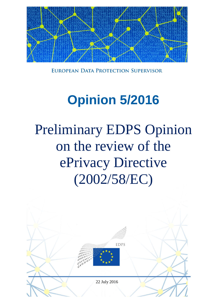

EUROPEAN DATA PROTECTION SUPERVISOR

# **Opinion 5/2016**

# Preliminary EDPS Opinion on the review of the ePrivacy Directive (2002/58/EC)

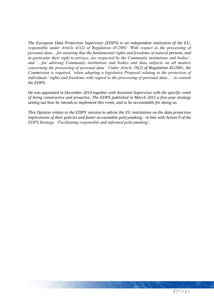*The European Data Protection Supervisor (EDPS) is an independent institution of the EU, responsible under Article 41(2) of Regulation 45/2001 'With respect to the processing of personal data… for ensuring that the fundamental rights and freedoms of natural persons, and in particular their right to privacy, are respected by the Community institutions and bodies', and '…for advising Community institutions and bodies and data subjects on all matters concerning the processing of personal data'. Under Article 28(2) of Regulation 45/2001, the Commission is required, 'when adopting a legislative Proposal relating to the protection of individuals' rights and freedoms with regard to the processing of personal data...', to consult the EDPS.* 

*He was appointed in December 2014 together with Assistant Supervisor with the specific remit of being constructive and proactive. The EDPS published in March 2015 a five-year strategy setting out how he intends to implement this remit, and to be accountable for doing so.* 

*This Opinion relates to the EDPS' mission to advise the EU institutions on the data protection implications of their policies and foster accountable policymaking - in line with Action 9 of the EDPS Strategy: 'Facilitating responsible and informed policymaking'.*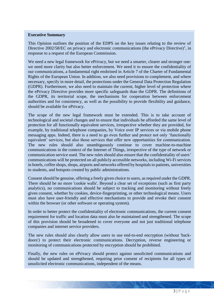#### **Executive Summary**

This Opinion outlines the position of the EDPS on the key issues relating to the review of Directive  $2002/58/EC$  on privacy and electronic communications (the ePrivacy Directive)<sup>1</sup>, in response to a request of the European Commission.

We need a new legal framework for ePrivacy, but we need a smarter, clearer and stronger one: we need more clarity but also better enforcement. We need it to ensure the confidentiality of our communications, a fundamental right enshrined in Article 7 of the Charter of Fundamental Rights of the European Union. In addition, we also need provisions to complement, and where necessary, specify in more detail, the protections under the General Data Protection Regulation (GDPR). Furthermore, we also need to maintain the current, higher level of protection where the ePrivacy Directive provides more specific safeguards than the GDPR. The definitions of the GDPR, its territorial scope, the mechanisms for cooperation between enforcement authorities and for consistency, as well as the possibility to provide flexibility and guidance, should be available for ePrivacy.

The scope of the new legal framework must be extended. This is to take account of technological and societal changes and to ensure that individuals be afforded the same level of protection for all functionally equivalent services, irrespective whether they are provided, for example, by traditional telephone companies, by Voice over IP services or via mobile phone messaging apps. Indeed, there is a need to go even further and protect not only 'functionally equivalent' services, but also those services that offer new opportunities for communication. The new rules should also unambiguously continue to cover machine-to-machine communications in the context of the Internet of Things, irrespective of the type of network or communication service used. The new rules should also ensure that the confidentiality of users' communications will be protected on all publicly accessible networks, including Wi-Fi services in hotels, coffee shops, shops, airports and networks offered by hospitals to patients, universities to students, and hotspots created by public administrations.

Consent should be genuine, offering a freely given choice to users, as required under the GDPR. There should be no more 'cookie walls'. Beyond a clear set of exceptions (such as first party analytics), no communications should be subject to tracking and monitoring without freely given consent, whether by cookies, device-fingerprinting, or other technological means. Users must also have user-friendly and effective mechanisms to provide and revoke their consent within the browser (or other software or operating system).

In order to better protect the confidentiality of electronic communications, the current consent requirement for traffic and location data must also be maintained and strengthened. The scope of this provision should be broadened to cover everyone and not just traditional telephone companies and internet service providers.

The new rules should also clearly allow users to use end-to-end encryption (without 'backdoors') to protect their electronic communications. Decryption, reverse engineering or monitoring of communications protected by encryption should be prohibited.

Finally, the new rules on ePrivacy should protect against unsolicited communications and should be updated and strengthened, requiring prior consent of recipients for all types of unsolicited electronic communications, independent of the means.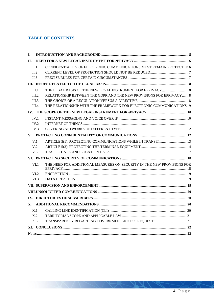# **TABLE OF CONTENTS**

| I.         |                 |                                                                        |  |
|------------|-----------------|------------------------------------------------------------------------|--|
| <b>II.</b> |                 |                                                                        |  |
|            | II.1            | CONFIDENTIALITY OF ELECTRONIC COMMUNICATIONS MUST REMAIN PROTECTED $6$ |  |
|            | II.2            |                                                                        |  |
|            | II.3            |                                                                        |  |
|            |                 |                                                                        |  |
|            | III.1           |                                                                        |  |
|            | III.2           | RELATIONSHIP BETWEEN THE GDPR AND THE NEW PROVISIONS FOR EPRIVACY  8   |  |
|            | III.3           |                                                                        |  |
|            | III.4           | THE RELATIONSHIP WITH THE FRAMEWORK FOR ELECTRONIC COMMUNICATIONS . 9  |  |
|            |                 |                                                                        |  |
|            | IV.1            |                                                                        |  |
|            | IV.2            |                                                                        |  |
|            | IV.3            |                                                                        |  |
|            |                 |                                                                        |  |
|            | V.1             | ARTICLE 5(1): PROTECTING COMMUNICATIONS WHILE IN TRANSIT  13           |  |
|            | V <sub>.2</sub> |                                                                        |  |
|            | V.3             |                                                                        |  |
|            |                 |                                                                        |  |
|            | VI.1            | THE NEED FOR ADDITIONAL MEASURES ON SECURITY IN THE NEW PROVISIONS FOR |  |
|            | VI.2            |                                                                        |  |
|            | VI.3            |                                                                        |  |
|            |                 |                                                                        |  |
|            |                 |                                                                        |  |
|            |                 |                                                                        |  |
| X.         |                 |                                                                        |  |
|            | X.1             |                                                                        |  |
|            | X.2             |                                                                        |  |
|            | X.3             |                                                                        |  |
|            |                 |                                                                        |  |
|            |                 |                                                                        |  |

 $\gamma$ 

 $\mathcal{N}$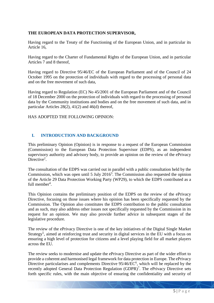## **THE EUROPEAN DATA PROTECTION SUPERVISOR,**

Having regard to the Treaty of the Functioning of the European Union, and in particular its Article 16,

Having regard to the Charter of Fundamental Rights of the European Union, and in particular Articles 7 and 8 thereof,

Having regard to Directive 95/46/EC of the European Parliament and of the Council of 24 October 1995 on the protection of individuals with regard to the processing of personal data and on the free movement of such data,

Having regard to Regulation (EC) No 45/2001 of the European Parliament and of the Council of 18 December 2000 on the protection of individuals with regard to the processing of personal data by the Community institutions and bodies and on the free movement of such data, and in particular Articles 28(2), 41(2) and 46(d) thereof,

HAS ADOPTED THE FOLLOWING OPINION:

## <span id="page-4-0"></span>**I. INTRODUCTION AND BACKGROUND**

This preliminary Opinion (Opinion) is in response to a request of the European Commission (Commission) to the European Data Protection Supervisor (EDPS), as an independent supervisory authority and advisory body, to provide an opinion on the review of the ePrivacy Directive<sup>2</sup>.

The consultation of the EDPS was carried out in parallel with a public consultation held by the Commission, which was open until  $5$  July  $2016<sup>3</sup>$ . The Commission also requested the opinion of the Article 29 Data Protection Working Party (WP29), to which the EDPS contributed as a full member<sup>4</sup>.

This Opinion contains the preliminary position of the EDPS on the review of the ePrivacy Directive, focusing on those issues where his opinion has been specifically requested by the Commission. The Opinion also constitutes the EDPS contribution to the public consultation and as such, may also address other issues not specifically requested by the Commission in its request for an opinion. We may also provide further advice in subsequent stages of the legislative procedure.

The review of the ePrivacy Directive is one of the key initiatives of the Digital Single Market Strategy<sup>5</sup>, aimed at reinforcing trust and security in digital services in the EU with a focus on ensuring a high level of protection for citizens and a level playing field for all market players across the EU.

The review seeks to modernise and update the ePrivacy Directive as part of the wider effort to provide a coherent and harmonised legal framework for data protection in Europe. The ePrivacy Directive particularises and complements Directive  $95/46/EC^6$ , which will be replaced by the recently adopted General Data Protection Regulation  $(GDPR)^7$ . The ePrivacy Directive sets forth specific rules, with the main objective of ensuring the confidentiality and security of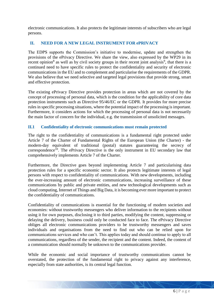electronic communications. It also protects the legitimate interests of subscribers who are legal persons.

## <span id="page-5-0"></span>**II. NEED FOR A NEW LEGAL INSTRUMENT FOR ePRIVACY**

The EDPS supports the Commission's initiative to modernise, update and strengthen the provisions of the ePrivacy Directive. We share the view, also expressed by the WP29 in its recent opinion<sup>8</sup> as well as by civil society groups in their recent joint analysis<sup>9</sup>, that there is a continued need to have specific rules to protect the confidentiality and security of electronic communications in the EU and to complement and particularise the requirements of the GDPR. We also believe that we need selective and targeted legal provisions that provide strong, smart and effective protection.

The existing ePrivacy Directive provides protection in areas which are not covered by the concept of processing of personal data, which is the condition for the applicability of core data protection instruments such as Directive 95/46/EC or the GDPR. It provides for more precise rules in specific processing situations, where the potential impact of the processing is important. Furthermore, it considers actions for which the processing of personal data is not necessarily the main factor of concern for the individual, e.g. the transmission of unsolicited messages.

## <span id="page-5-1"></span>**II.1 Confidentiality of electronic communications must remain protected**

The right to the confidentiality of communications is a fundamental right protected under Article 7 of the Charter of Fundamental Rights of the European Union (the Charter) - the modern-day equivalent of traditional (postal) statutes guaranteeing the secrecy of correspondence<sup>10</sup>. The ePrivacy Directive is the only instrument in EU secondary law that comprehensively implements Article 7 of the Charter.

Furthermore, the Directive goes beyond implementing Article 7 and particularising data protection rules for a specific economic sector. It also protects legitimate interests of legal persons with respect to confidentiality of communications. With new developments, including the ever-increasing amount of electronic communications, increasing surveillance of these communications by public and private entities, and new technological developments such as cloud computing, Internet of Things and Big Data, it is becoming ever more important to protect the confidentiality of communications.

Confidentiality of communications is essential for the functioning of modern societies and economies: without trustworthy messengers who deliver information to the recipients without using it for own purposes, disclosing it to third parties, modifying the content, suppressing or delaying the delivery, business could only be conducted face to face. The ePrivacy Directive obliges all electronic communications providers to be trustworthy messengers and saves individuals and organisations from the need to find out who can be relied upon for communications services and who can't. This applies today and should continue to apply to all communications, regardless of the sender, the recipient and the content. Indeed, the content of a communication should normally be unknown to the communications provider.

While the economic and social importance of trustworthy communications cannot be overstated, the protection of the fundamental right to privacy against any interference, especially from state authorities, is its central legal function.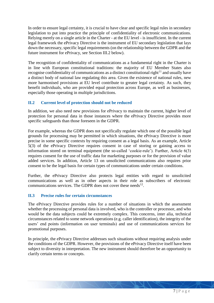In order to ensure legal certainty, it is crucial to have clear and specific legal rules in secondary legislation to put into practice the principle of confidentiality of electronic communications. Relying merely on a single article in the Charter - at the EU level - is insufficient. In the current legal framework the ePrivacy Directive is the instrument of EU secondary legislation that lays down the necessary, specific legal requirements (on the relationship between the GDPR and the future instrument for ePrivacy, see Section III.2 below).

The recognition of confidentiality of communications as a fundamental right in the Charter is in line with European constitutional traditions: the majority of EU Member States also recognise confidentiality of communications as a distinct constitutional right<sup>11</sup> and usually have a distinct body of national law regulating this area. Given the existence of national rules, new more harmonised provisions at EU level contribute to greater legal certainty. As such, they benefit individuals, who are provided equal protection across Europe, as well as businesses, especially those operating in multiple jurisdictions.

## <span id="page-6-0"></span>**II.2 Current level of protection should not be reduced**

In addition, we also need new provisions for ePrivacy to maintain the current, higher level of protection for personal data in those instances where the ePrivacy Directive provides more specific safeguards than those foreseen in the GDPR.

For example, whereas the GDPR does not specifically regulate which one of the possible legal grounds for processing may be permitted in which situations, the ePrivacy Directive is more precise in some specific contexts by requiring consent as a legal basis. As an example, Article 5(3) of the ePrivacy Directive requires consent in case of storing or gaining access to information stored on terminal equipment (the so-called 'cookie-rule'). Further, Article 6(3) requires consent for the use of traffic data for marketing purposes or for the provision of value added services. In addition, Article 13 on unsolicited communications also requires prior consent to be the legal basis for certain types of communications under certain conditions.

Further, the ePrivacy Directive also protects legal entities with regard to unsolicited communications as well as in other aspects in their role as subscribers of electronic communications services. The GDPR does not cover these needs $^{12}$ .

## <span id="page-6-1"></span>**II.3 Precise rules for certain circumstances**

The ePrivacy Directive provides rules for a number of situations in which the assessment whether the processing of personal data is involved, who is the controller or processor, and who would be the data subjects could be extremely complex. This concerns, inter alia, technical circumstances related to some network operations (e.g. caller identification), the integrity of the users' end points (information on user terminals) and use of communications services for promotional purposes.

In principle, the ePrivacy Directive addresses such situations without requiring analysis under the conditions of the GDPR. However, the provisions of the ePrivacy Directive itself have been subject to diversity in interpretation. The new instrument should therefore be an opportunity to clarify certain terms or concepts.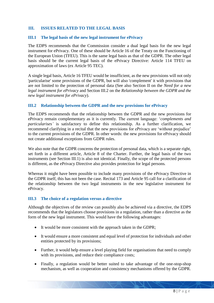## <span id="page-7-0"></span>**III. ISSUES RELATED TO THE LEGAL BASIS**

#### <span id="page-7-1"></span>**III.1 The legal basis of the new legal instrument for ePrivacy**

The EDPS recommends that the Commission consider a dual legal basis for the new legal instrument for ePrivacy. One of these should be Article 16 of the Treaty on the Functioning of the European Union (TFEU). This is the same legal basis as that of the GDPR. The other legal basis should be the current legal basis of the ePrivacy Directive: Article 114 TFEU on approximation of laws (ex Article 95 TEC).

A single legal basis, Article 16 TFEU would be insufficient, as the new provisions will not only 'particularise' some provisions of the GDPR, but will also 'complement' it with provisions that are not limited to the protection of personal data (See also Section II on the *Need for a new legal instrument for ePrivacy* and Section III.2 on the *Relationship between the GDPR and the new legal instrument for ePrivacy*).

#### <span id="page-7-2"></span>**III.2 Relationship between the GDPR and the new provisions for ePrivacy**

The EDPS recommends that the relationship between the GDPR and the new provisions for ePrivacy remain complementary as it is currently. The current language: '*complements and particularises'* is satisfactory to define this relationship. As a further clarification, we recommend clarifying in a recital that the new provisions for ePrivacy are 'without prejudice' to the current provisions of the GDPR. In other words: the new provisions for ePrivacy should not create additional exceptions from GDPR rules.

We also note that the GDPR concerns the protection of personal data, which is a separate right, set forth in a different article, Article 8 of the Charter. Further, the legal basis of the two instruments (see Section III.1) is also not identical. Finally, the scope of the protected persons is different, as the ePrivacy Directive also provides protection for legal persons.

Whereas it might have been possible to include many provisions of the ePrivacy Directive in the GDPR itself, this has not been the case. Recital 173 and Article 95 call for a clarification of the relationship between the two legal instruments in the new legislative instrument for ePrivacy.

#### <span id="page-7-3"></span>**III.3 The choice of a regulation versus a directive**

Although the objectives of the review can possibly also be achieved via a directive, the EDPS recommends that the legislators choose provisions in a regulation, rather than a directive as the form of the new legal instrument. This would have the following advantages:

- It would be more consistent with the approach taken in the GDPR;
- It would ensure a more consistent and equal level of protection for individuals and other entities protected by its provisions;
- Further, it would help ensure a level playing field for organisations that need to comply with its provisions, and reduce their compliance costs;
- Finally, a regulation would be better suited to take advantage of the one-stop-shop mechanism, as well as cooperation and consistency mechanisms offered by the GDPR.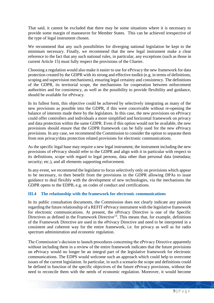That said, it cannot be excluded that there may be some situations where it is necessary to provide some margin of manoeuvre for Member States. This can be achieved irrespective of the type of legal instrument chosen.

We recommend that any such possibilities for diverging national legislation be kept to the minimum necessary. Finally, we recommend that the new legal instrument make a clear reference to the fact that any such national rules, in particular, any exceptions (such as those in current Article 15) must fully respect the provisions of the Charter.

Choosing a regulation would also make it easier to use for ePrivacy the new framework for data protection created by the GDPR with its strong and effective toolkit (e.g. in terms of definitions, scoping and supervision mechanisms), ensuring legal certainty and consistency. The definitions of the GDPR, its territorial scope, the mechanisms for cooperation between enforcement authorities and for consistency, as well as the possibility to provide flexibility and guidance, should be available for ePrivacy.

In its fullest form, this objective could be achieved by selectively integrating as many of the new provisions as possible into the GDPR, if this were conceivable without re-opening the balance of interests made there by the legislators. In this case, the new provisions on ePrivacy could offer controllers and individuals a more simplified and horizontal framework on privacy and data protection within the same GDPR. Even if this option would not be available, the new provisions should ensure that the GDPR framework can be fully used for the new ePrivacy provisions. In any case, we recommend the Commission to consider the option to separate them from non privacy/data protection related provisions for electronic communications.

As the specific legal base may require a new legal instrument, the instrument including the new provisions of ePrivacy should refer to the GDPR and align with it in particular with respect to its definitions, scope with regard to legal persons, data other than personal data (metadata; security; etc.), and all elements supporting enforcement.

In any event, we recommend the legislator to focus selectively only on provisions which appear to be necessary, to then benefit from the provisions in the GDPR allowing DPAs to issue guidance to deal flexibly with the development of new technologies, via the mechanisms the GDPR opens to the EDPB, e.g. on codes of conduct and certifications.

## <span id="page-8-0"></span>**III.4 The relationship with the framework for electronic communications**

In its public consultation documents, the Commission does not clearly indicate any position regarding the future relationship of a REFIT ePrivacy instrument with the legislative framework for electronic communications. At present, the ePrivacy Directive is one of the Specific Directives as defined in the Framework Directive<sup>13</sup>. This means that, for example, definitions of the Framework Directive are used in the ePrivacy Directive and need to be interpreted in a consistent and coherent way for the entire framework, i.e. for privacy as well as for radio spectrum administration and economic regulation.

The Commission's decision to launch procedures concerning the ePrivacy Directive apparently without including them in a review of the entire framework indicates that the future provisions on ePrivacy would no longer be an integral part of the legislative framework for electronic communications. The EDPS would welcome such an approach which could help to overcome issues of the current legislation. In particular, in such a scenario the scope and definitions could be defined in function of the specific objectives of the future ePrivacy provisions, without the need to reconcile them with the needs of economic regulation. Moreover, it would become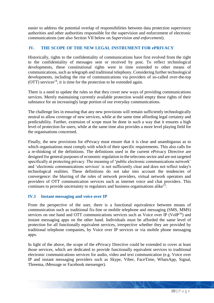easier to address the potential overlap of responsibilities between data protection supervisory authorities and other authorities responsible for the supervision and enforcement of electronic communications (see also Section VII below on *Supervision and enforcement*).

## <span id="page-9-0"></span>**IV. THE SCOPE OF THE NEW LEGAL INSTRUMENT FOR ePRIVACY**

Historically, rights to the confidentiality of communications have first evolved from the right to the confidentiality of messages sent or received by post. To reflect technological developments, these constitutional rights were in time extended to other means of communications, such as telegraph and traditional telephony. Considering further technological developments, including the rise of communications via providers of so-called over-the-top  $(OTT)$  services<sup>14</sup>, it is time for the protection to be extended again.

There is a need to update the rules so that they cover new ways of providing communications services. Merely maintaining currently available protection would empty these rights of their substance for an increasingly large portion of our everyday communications.

The challenge lies in ensuring that any new provisions will remain sufficiently technologically neutral to allow coverage of new services, while at the same time affording legal certainty and predictability. Further, extension of scope must be done in such a way that it ensures a high level of protection for users, while at the same time also provides a more level playing field for the organisations concerned.

Finally, the new provisions for ePrivacy must ensure that it is clear and unambiguous as to which organisations must comply with which of their specific requirements. This also calls for a re-thinking of the definitions. The definitions used in the current ePrivacy Directive are designed for general purposes of economic regulation in the telecoms sector and are not targeted specifically at protecting privacy. The meaning of 'public electronic communications network' and 'electronic communications services' is not sufficiently clear and does not reflect today's technological realities. These definitions do not take into account the tendencies of convergence: the blurring of the roles of network providers, virtual network operators and providers of OTT communication services such as internet voice and chat providers. This continues to provide uncertainty to regulators and business organisations alike<sup>15</sup>.

## <span id="page-9-1"></span>**IV.1 Instant messaging and voice over IP**

From the perspective of the user, there is a functional equivalence between means of communication such as traditional fix-line or mobile telephone and messaging (SMS, MMS) services on one hand and OTT communications services such as Voice over IP ( $VoIP<sup>16</sup>$ ) and instant messaging apps on the other hand. Individuals must be afforded the same level of protection for all functionally equivalent services, irrespective whether they are provided by traditional telephone companies, by Voice over IP services or via mobile phone messaging apps.

In light of the above, the scope of the ePrivacy Directive could be extended to cover at least those services, which are dedicated to provide functionally equivalent services to traditional electronic communications services for audio, video and text communication (e.g. Voice over IP and instant messaging providers such as Skype, Viber, FaceTime, WhatsApp, Signal, Threema, iMessage or Facebook messenger).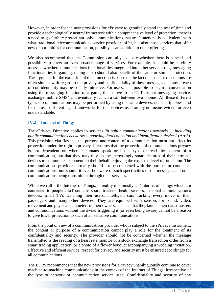However, in order for the new provisions for ePrivacy to genuinely stand the test of time and provide a technologically neutral framework with a comprehensive level of protection, there is a need to go further: protect not only communications that are 'functionally equivalent' with what traditional telecommunications service providers offer, but also those services that offer new opportunities for communication, possibly as an addition to other offerings.

We also recommend that the Commission carefully evaluate whether there is a need and possibility to cover an even broader range of services. For example, it should be carefully assessed whether communications functionalities integrated into other services (e.g. messaging functionalities in gaming, dating apps) should also benefit of the same or similar protection. The argument for the extension of the protection is based on the fact that user's expectations are often similar with regard to the privacy and confidentiality of these messages and any breach of confidentiality may be equally intrusive. For users, it is possible to begin a conversation using the messaging function of a game, then move to an OTT instant messaging service, exchange mobile SMS' and eventually launch a call between two phones. All these different types of communications may be performed by using the same devices, i.e. smartphones, and for the user different legal frameworks for the services used are by no means evident or even understandable.

## <span id="page-10-0"></span>**IV.2 Internet of Things**

The ePrivacy Directive applies to services '*in public communications networks ... including public communications networks supporting data collection and identification devices*' (Art.3). This provision clarifies that the purpose and content of a communication must not affect its protection under the right to privacy. It ensures that the protection of communications privacy is not dependent on whether humans speak or listen, type or read the content of a communication, but that they may rely on the increasingly smart features of their terminal devices to communicate content on their behalf, enjoying the expected level of protection. The communications provider normally should not be concerned with the purpose or content of communications, nor should it even be aware of such specificities of the messages and other communications being transmitted through their services.

While we call it the Internet of Things, in reality it is mostly an 'Internet of Things which are connected to people': IoT contains sports trackers, health sensors, personal communications devices, smart TVs watching their users, intelligent cars tracking every move of their passengers and many other devices. They are equipped with sensors for sound, video, movement and physical parameters of their owners. The fact that they launch their data transfers and communications without the owner triggering it (or even being aware) cannot be a reason to give lower protection to such often sensitive communications.

From the point of view of a communications provider who is subject to the ePrivacy instrument, the content or purpose of a communication cannot play a role for the treatment of its confidentiality and security. The provider should not be concerned whether the message transmitted is the reading of a heart rate monitor or a stock exchange transaction order from a smart trading application, or a photo of a flower bouquet accompanying a wedding invitation. Effective and efficient service, respect for privacy and security must be ensured accordingly for all communications.

The EDPS recommends that the new provisions for ePrivacy unambiguously continue to cover machine-to-machine communications in the context of the Internet of Things, irrespective of the type of network or communication service used. Confidentiality and security of any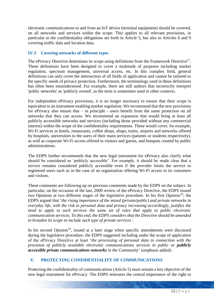electronic communications to and from an IoT device (terminal equipment) should be covered, on all networks and services within the scope. This applies to all relevant provisions, in particular to the confidentiality obligations set forth in Article 5, but also to Articles 6 and 9 covering traffic data and location data.

## <span id="page-11-0"></span>**IV.3 Covering networks of different types**

The ePrivacy Directive determines its scope using definitions from the Framework Directive<sup>17</sup>. These definitions have been designed to cover a multitude of purposes including market regulation, spectrum management, universal access, etc. In this complex field, general definitions can only cover the intersection of all fields of application and cannot be tailored to the specific needs of privacy protection. Furthermore, the terminology used in these definitions has often been misunderstood. For example, there are still authors that incorrectly interpret 'public networks' as 'publicly owned', as the term is sometimes used in other contexts.

For independent ePrivacy provisions, it is no longer necessary to ensure that their scope is equivalent to an instrument enabling market regulation. We recommend that the new provisions for ePrivacy also ensure that – in principle - users benefit from the same protection on all networks that they can access. We recommend an expansion that would bring at least all publicly accessible networks and services (including those provided without any commercial interest) within the scope of the confidentiality requirements. These would cover, for example, Wi-Fi services in hotels, restaurants, coffee shops, shops, trains, airports and networks offered by hospitals, universities to the users of their main services (patients or students respectively), as well as corporate Wi-Fi access offered to visitors and guests, and hotspots created by public administrations.

The EDPS further recommends that the new legal instrument for ePrivacy also clarify what should be considered as 'publicly accessible'. For example, it should be made clear that a service remains considered publicly accessible even if the provider limits the service to registered users such as in the case of an organisation offering Wi-Fi access to its customers and visitors.

These comments are following up on previous comments made by the EDPS on the subject. In particular, on the occasion of the last, 2009 review of the ePrivacy Directive, the EDPS issued two Opinions at two different stages of the legislative procedure. In his first Opinion<sup>18</sup>, the EDPS argued that '*the rising importance of the mixed (private/public) and private networks in everyday life, with the risk to personal data and privacy increasing accordingly, justifies the need to apply to such services the same set of rules that apply to public electronic communication services. To this end, the EDPS considers that the Directive should be amended to broaden its scope to include such type of private services'.*

In his second Opinion<sup>19</sup>, issued at a later stage when specific amendments were discussed during the legislative procedure, the EDPS suggested including under the scope of application of the ePrivacy Directive at least '*the processing of personal data in connection with the provision of publicly available electronic communications services in public or <i>publicly accessible private communications networks in the Community*' (emphasis added).

## <span id="page-11-1"></span>**V. PROTECTING CONFIDENTIALITY OF COMMUNICATIONS**

Protecting the confidentiality of communications (Article 5) must remain a key objective of the new legal instrument for ePrivacy. The EDPS reiterates the central importance of the right to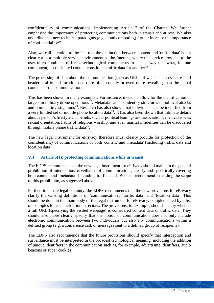confidentiality of communications, implementing Article 7 of the Charter. We further emphasize the importance of protecting communications both in transit and at rest. We also underline that new technical paradigms (e.g. cloud computing) further increase the importance of confidentiality $^{20}$ .

Also, we call attention to the fact that the distinction between content and 'traffic data' is not clear-cut in a multiple service environment as the Internet, where the service provided to the user often combines different technological components in such a way that what, for one component, is considered content constitutes traffic data for another $^{21}$ .

The processing of data about the communication (such as URLs of websites accessed, e-mail header, traffic and location data) are often equally or even more revealing than the actual contents of the communication.

This has been shown in many examples. For instance, metadata allow for the identification of targets in military drone operations<sup>22</sup>. Metadata can also identify structures in political attacks and criminal investigations $2<sup>3</sup>$ . Research has also shown that individuals can be identified from a very limited set of mobile phone location data<sup>24</sup>. It has also been shown that intimate details about a person's lifestyle and beliefs, such as political leanings and associations, medical issues, sexual orientation, habits of religious worship, and even marital infidelities can be discovered through mobile phone traffic data $25$ .

The new legal instrument for ePrivacy therefore must clearly provide for protection of the confidentiality of communications of both 'content' and 'metadata' (including traffic data and location data).

## <span id="page-12-0"></span>**V.1 Article 5(1): protecting communications while in transit**

The EDPS recommends that the new legal instrument for ePrivacy should maintain the general prohibition of interception/surveillance of communications, clearly and specifically covering both content and 'metadata' (including traffic data). We also recommend extending the scope of this prohibition, as suggested above.

Further, to ensure legal certainty, the EDPS recommends that the new provisions for ePrivacy clarify the existing definitions of 'communication', 'traffic data' and 'location data'. This should be done in the main body of the legal instrument for ePrivacy, complemented by a list of examples for each definition in recitals. The provisions, for example, should specify whether a full URL (specifying the visited webpage) is considered content data or traffic data. They should also more clearly specify that the notion of communication does not only include electronic communication between two individuals but also any communications within a defined group (e.g. a conference call, or messages sent to a defined group of recipients).

The EDPS also recommends that the future provisions should specify that interception and surveillance must be interpreted in the broadest technological meaning, including the addition of unique identifiers in the communication such as, for example, advertising identifiers, audio beacons or super cookies.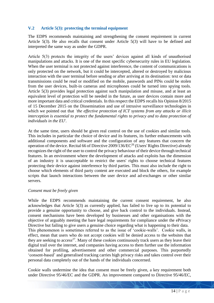## <span id="page-13-0"></span>**V.2 Article 5(3): protecting the terminal equipment**

The EDPS recommends maintaining and strengthening the consent requirement in current Article 5(3). He also recalls that consent under Article 5(3) will have to be defined and interpreted the same way as under the GDPR.

Article 5(3) protects the integrity of the users' devices against all kinds of unauthorised manipulations and attacks. It is one of the most specific cybersecurity rules in EU legislation. When the user terminal is not protected against interference, the content of communications is only protected on the network, but it could be intercepted, altered or destroyed by malicious interaction with the user terminal before sending or after arriving at its destination: text or data transmissions could be read or modified on the mobile, passwords and PINs could be stolen from the user devices, built-in cameras and microphones could be turned into spying tools. Article 5(3) provides legal protection against such manipulation and misuse, and at least an equivalent level of protection will be needed in the future, as user devices contain more and more important data and critical credentials. In this respect the EDPS recalls his Opinion 8/2015 of 15 December 2015 on the Dissemination and use of intrusive surveillance technologies in which we pointed out that *'the effective protection of ICT systems from any attacks or illicit interception is essential to protect the fundamental rights to privacy and to data protection of individuals in the EU*'.

At the same time, users should be given real control on the use of cookies and similar tools. This includes in particular the choice of device and its features, its further enhancements with additional components and software and the configuration of any features that concern the operation of the device. Recital 66 of Directive 2009/136/EC<sup>26</sup> (Users' Rights Directive) already recognizes the right of the user to control the privacy behaviour of their device through technical features. In an environment where the development of attacks and exploits has the dimension of an industry it is unacceptable to restrict the users' rights to choose technical features protecting their device against interference by third parties. This must also include the right to choose which elements of third party content are executed and block the others, for example scripts that launch interactions between the user device and ad-exchanges or other similar servers.

#### *Consent must be freely given*

While the EDPS recommends maintaining the current consent requirement, he also acknowledges that Article 5(3) as currently applied, has failed to live up to its potential to provide a genuine opportunity to choose, and give back control to the individuals. Instead, consent mechanisms have been developed by businesses and other organisations with the objective of arguably meeting the bare legal requirements for compliance under the ePrivacy Directive but failing to give users a genuine choice regarding what is happening to their data. This phenomenon is sometimes referred to as the issue of 'cookie-walls'. Cookie walls, in effect, mean that users who do not accept cookies will be denied access to the websites that they are seeking to access<sup>27</sup>. Many of these cookies continuously track users as they leave their digital trail over the internet, and companies having access to them further use the information obtained for profiling, advertisement and other commercial purposes. This purportedly 'consent-based' and generalised tracking carries high privacy risks and takes control over their personal data completely out of the hands of the individuals concerned.

Cookie walls undermine the idea that consent must be freely given, a key requirement both under Directive 95/46/EC and the GDPR. An improvement compared to Directive 95/46/EC,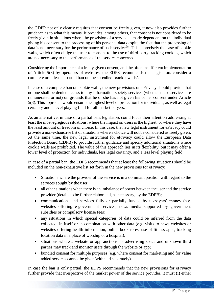the GDPR not only clearly requires that consent be freely given, it now also provides further guidance as to what this means. It provides, among others, that consent is not considered to be freely given in situations where the provision of a service is made dependent on the individual giving his consent to the processing of his personal data despite the fact that the processing of data is not necessary for the performance of such service<sup>28</sup>. This is precisely the case of cookie walls, which often oblige the user to consent to the use of third-party tracking cookies, which are not necessary to the performance of the service concerned.

Considering the importance of a freely given consent, and the often insufficient implementation of Article 5(3) by operators of websites, the EDPS recommends that legislators consider a complete or at least a partial ban on the so-called 'cookie walls'.

In case of a complete ban on cookie walls, the new provisions on ePrivacy should provide that no one shall be denied access to any information society services (whether these services are remunerated or not) on grounds that he or she has not given his or her consent under Article 5(3). This approach would ensure the highest level of protection for individuals, as well as legal certainty and a level playing field for all market players.

As an alternative, in case of a partial ban, legislators could focus their attention addressing at least the most egregious situations, where the impact on users is the highest, or where they have the least amount of freedom of choice. In this case, the new legal instrument for ePrivacy could provide a non-exhaustive list of situations where a choice will not be considered as freely given. At the same time, the new legal instrument for ePrivacy could allow the European Data Protection Board (EDPB) to provide further guidance and specify additional situations where cookie walls are prohibited. The value of this approach lies in its flexibility, but it may offer a lower level of protection for individuals, less legal certainty, and a less level playing field.

In case of a partial ban, the EDPS recommends that at least the following situations should be included on the non-exhaustive list set forth in the new provisions for ePrivacy:

- Situations where the provider of the service is in a dominant position with regard to the services sought by the user;
- all other situations when there is an imbalance of power between the user and the service provider (details to be further elaborated, as necessary, by the EDPB);
- communications and services fully or partially funded by taxpayers' money (e.g. websites offering e-government services; news media supported by government subsidies or compulsory license fees);
- any situations in which special categories of data could be inferred from the data collected, in itself or in combination with other data (e.g. visits to news websites or websites offering health information, online bookstores, use of fitness apps, tracking location data in a place of worship or a hospital);
- situations where a website or app auctions its advertising space and unknown third parties may track and monitor users through the website or app;
- bundled consent for multiple purposes (e.g. where consent for marketing and for value added services cannot be given/withheld separately).

In case the ban is only partial, the EDPS recommends that the new provisions for ePrivacy further provide that irrespective of the market power of the service provider, it must (i) either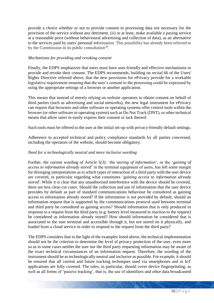provide a choice whether or not to provide consent to processing data not necessary for the provision of the service without any detriment, (ii) or at least, make available a paying service at a reasonable price (without behavioural advertising and collection of data), as an alternative to the services paid by users' personal information. This possibility has already been referred to by the Commission in its public consultation $^{29}$ .

## *Mechanisms for providing and revoking consent*

Finally, the EDPS emphasizes that users must have user-friendly and effective mechanisms to provide and revoke their consent. The EDPS recommends, building on recital 66 of the Users' Rights Directive referred above, that the new provisions for ePrivacy provide for a workable legislative requirement ensuring that the user's consent to the processing could be expressed by using the appropriate settings of a browser or another application.

This means that instead of merely relying on website operators to obtain consent on behalf of third parties (such as advertising and social networks), the new legal instrument for ePrivacy can require that browsers and other software or operating systems offer control tools within the browser (or other software or operating system) such as Do Not Track (DNT), or other technical means that allow users to easily express their consent or lack thereof.

Such tools must be offered to the user at the initial set-up with privacy-friendly default settings.

Adherence to accepted technical and policy compliance standards by all parties concerned, including the operators of the website, should become obligatory.

## *Need for a technologically neutral and more inclusive wording*

Further, the current wording of Article 5(3): '*the storing of information*', or the '*gaining of access to information already stored*' in the terminal equipment of users, has left some margin for diverging interpretations as to which types of interaction of a third party with the user device are covered, in particular regarding what constitutes 'g*aining access to information already stored*'. While it is clear that any unauthorised interference with the device should be covered, there are less clear-cut cases. Should the collection and use of information that the user device provides by default as part of standard communications behaviour be considered as gaining access to information already stored? If the information is not provided by default, should an information request that is supported by the communications protocol used between terminal and third party be considered as gaining access? Should information that is only produced in response to a request from the third party (e.g. battery level measured in reaction to the request) be considered as information already stored? How should information be considered that is associated to the user terminal and accessible through it, but not stored on it physically, and loaded from a cloud service in order to respond to the request from the third party?

The EDPS considers that in the light of the examples listed above, the technical implementation should not be the criterion to determine the level of privacy protection of the user, even more so as in some cases neither the user nor the third party requesting information may be aware of the exact technical circumstances of an information request. Therefore, the wording of the instrument should be as technologically neutral and inclusive as possible. For example, it should be ensured that all current and future tracking techniques used via smartphones and in IoT applications are fully covered. The rules, in particular, should cover device fingerprinting, as well as all forms of 'passive tracking', that is, the use of identifiers and other data broadcasted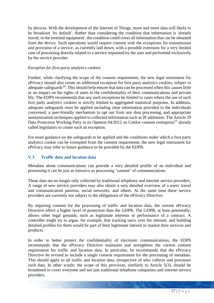by devices. With the development of the Internet of Things, more and more data will likely to be broadcast 'by default'. Rather than considering the condition that information is 'already stored, in the terminal equipment', the condition could cover all information that can be obtained from the device. Such operations would require consent with the exceptions for transmission and provision of a service, as currently laid down, with a possible extension for a very limited case of processing directly related to a service requested by the user and performed exclusively by the service provider.

## *Exception for first-party analytics cookies*

Further, while clarifying the scope of the consent requirement, the new legal instrument for ePrivacy should also create an additional exception for first party analytics cookies, subject to adequate safeguards<sup>30</sup>. This should help ensure that data can be processed when this causes little or no impact on the rights of users to the confidentiality of their communications and private life. The EDPS recommends that any such exceptions be limited to cases where the use of such first party analytics cookies is strictly limited to aggregated statistical purposes. In addition, adequate safeguards must be applied including clear information provided to the individuals concerned, a user-friendly mechanism to opt out from any data processing, and appropriate anonymisation techniques applied to collected information such as IP addresses. The Article 29 Data Protection Working Party in its Opinion 04/2012 on Cookie consent exemption<sup>31</sup> already called legislators to create such an exception.

For more guidance on the safeguards to be applied and the conditions under which a first party analytics cookie can be exempted from the consent requirement, the new legal instrument for ePrivacy may refer to future guidance to be provided by the EDPB.

## <span id="page-16-0"></span>**V.3 Traffic data and location data**

Metadata about communications can provide a very detailed profile of an individual and processing it can be just as intrusive as processing 'content' of communications.

These data are no longer only collected by traditional telephony and internet service providers. A range of new service providers may also obtain a very detailed overview of a users' travel and communication patterns, social networks, and others. At the same time these service providers are currently not subject to the obligations of the ePrivacy Directive.

By requiring consent for the processing of traffic and location data, the current ePrivacy Directive offers a higher level of protection than the GDPR. The GDPR, at least potentially, allows other legal grounds, such as legitimate interests or performance of a contract. A controller might try to argue, for example, that tracking users over the internet, and building detailed profiles for them would be part of their legitimate interest to market their services and products.

In order to better protect the confidentiality of electronic communications, the EDPS recommends that the ePrivacy Directive maintains and strengthens the current consent requirement for traffic and location data. In particular, he recommends that the ePrivacy Directive be revised to include a single consent requirement for the processing of metadata. This should apply to all traffic and location data, irrespective of who collects and processes such data. In other words: the scope of this provision, similarly to Article 5(3), should be broadened to cover everyone and not just traditional telephone companies and internet service providers.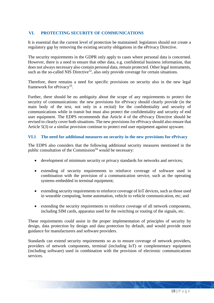## <span id="page-17-0"></span>**VI. PROTECTING SECURITY OF COMMUNICATIONS**

It is essential that the current level of protection be maintained: legislators should not create a regulatory gap by removing the existing security obligations in the ePrivacy Directive.

The security requirements in the GDPR only apply to cases where personal data is concerned. However, there is a need to ensure that other data, e.g. confidential business information, that does not always necessary also contain personal data, remain protected. Other legal instruments, such as the so-called NIS Directive<sup>32</sup>, also only provide coverage for certain situations.

Therefore, there remains a need for specific provisions on security also in the new legal framework for ePrivacy<sup>33</sup>.

Further, there should be no ambiguity about the scope of any requirements to protect the security of communications: the new provisions for ePrivacy should clearly provide (in the main body of the text, not only in a recital) for the confidentiality and security of communications while in transit but must also protect the confidentiality and security of end user equipment. The EDPS recommends that Article 4 of the ePrivacy Directive should be revised to clearly cover both situations. The new provisions for ePrivacy should also ensure that Article 5(3) or a similar provision continue to protect end user equipment against spyware.

## <span id="page-17-1"></span>**VI.1 The need for additional measures on security in the new provisions for ePrivacy**

The EDPS also considers that the following additional security measures mentioned in the public consultation of the Commission<sup>34</sup> would be necessary:

- development of minimum security or privacy standards for networks and services;
- extending of security requirements to reinforce coverage of software used in combination with the provision of a communication service, such as the operating systems embedded in terminal equipment;
- extending security requirements to reinforce coverage of IoT devices, such as those used in wearable computing, home automation, vehicle to vehicle communication, etc; and
- extending the security requirements to reinforce coverage of all network components, including SIM cards, apparatus used for the switching or routing of the signals, etc.

These requirements could assist in the proper implementation of principles of security by design, data protection by design and data protection by default, and would provide more guidance for manufacturers and software providers.

Standards can extend security requirements so as to ensure coverage of network providers, providers of network components, terminal (including IoT) or complementary equipment (including software) used in combination with the provision of electronic communications services.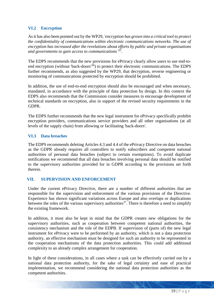## <span id="page-18-0"></span>**VI.2 Encryption**

As it has also been pointed out by the WP29, *'encryption has grown into a critical tool to protect the confidentiality of communications within electronic communications networks. The use of encryption has increased after the revelations about efforts by public and private organisations and governments to gain access to communications' 35* .

The EDPS recommends that the new provisions for ePrivacy clearly allow users to use end-toend encryption (without 'back-doors<sup>'36</sup>) to protect their electronic communications. The EDPS further recommends, as also suggested by the WP29, that decryption, reverse engineering or monitoring of communications protected by encryption should be prohibited.

In addition, the use of end-to-end encryption should also be encouraged and when necessary, mandated, in accordance with the principle of data protection by design. In this context the EDPS also recommends that the Commission consider measures to encourage development of technical standards on encryption, also in support of the revised security requirements in the GDPR.

The EDPS further recommends that the new legal instrument for ePrivacy specifically prohibit encryption providers, communications service providers and all other organisations (at all levels of the supply chain) from allowing or facilitating 'back-doors'.

## <span id="page-18-1"></span>**VI.3 Data breaches**

The EDPS recommends deleting Articles 4.3 and 4.4 of the ePrivacy Directive on data breaches as the GDPR already requires all controllers to notify subscribers and competent national authorities of personal data breaches (subject to certain exemptions). To avoid duplicate notifications we recommend that all data breaches involving personal data should be notified to the supervisory authorities provided for in GDPR according to the provisions set forth therein.

#### <span id="page-18-2"></span>**VII. SUPERVISION AND ENFORCEMENT**

Under the current ePrivacy Directive, there are a number of different authorities that are responsible for the supervision and enforcement of the various provisions of the Directive. Experience has shown significant variations across Europe and also overlaps or duplications between the roles of the various supervisory authorities<sup>37</sup>. There is therefore a need to simplify the existing framework.

In addition, it must also be kept in mind that the GDPR creates new obligations for the supervisory authorities, such as cooperation between competent national authorities, the consistency mechanism and the role of the EDPB. If supervision of (parts of) the new legal instrument for ePrivacy were to be performed by an authority, which is not a data protection authority, an effective mechanism must be designed for such an authority to be represented in the cooperation mechanisms of the data protection authorities. This could add additional complexity to an already complex arrangement for cooperation.

In light of these considerations, in all cases where a task can be effectively carried out by a national data protection authority, for the sake of legal certainty and ease of practical implementation, we recommend considering the national data protection authorities as the competent authorities.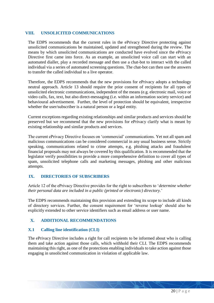## <span id="page-19-0"></span>**VIII. UNSOLICITED COMMUNICATIONS**

The EDPS recommends that the current rules in the ePrivacy Directive protecting against unsolicited communications be maintained, updated and strengthened during the review. The means by which unsolicited communications are conducted have evolved since the ePrivacy Directive first came into force. As an example, an unsolicited voice call can start with an automated dialler, play a recorded message and then use a chat-bot to interact with the called individual via a series of automated screening questions. The chat-bot can then use the answers to transfer the called individual to a live operator.

Therefore, the EDPS recommends that the new provisions for ePrivacy adopts a technology neutral approach. Article 13 should require the prior consent of recipients for all types of unsolicited electronic communications, independent of the means (e.g. electronic mail, voice or video calls, fax, text, but also direct-messaging (i.e. within an information society service) and behavioural advertisement. Further, the level of protection should be equivalent, irrespective whether the user/subscriber is a natural person or a legal entity.

Current exceptions regarding existing relationships and similar products and services should be preserved but we recommend that the new provisions for ePrivacy clarify what is meant by existing relationship and similar products and services.

The current ePrivacy Directive focuses on 'commercial' communications. Yet not all spam and malicious communications can be considered commercial in any usual business sense. Strictly speaking, communications related to crime attempts, e.g. phishing attacks and fraudulent financial proposals may not always be covered by this qualification. It is recommended that the legislator verify possibilities to provide a more comprehensive definition to cover all types of spam, unsolicited telephone calls and marketing messages, phishing and other malicious attempts.

## <span id="page-19-1"></span>**IX. DIRECTORIES OF SUBSCRIBERS**

Article 12 of the ePrivacy Directive provides for the right to subscribers to '*determine whether their personal data are included in a public (printed or electronic) directory.*'

The EDPS recommends maintaining this provision and extending its scope to include all kinds of directory services. Further, the consent requirement for 'reverse lookup' should also be explicitly extended to other service identifiers such as email address or user name.

## <span id="page-19-2"></span>**X. ADDITIONAL RECOMMENDATIONS**

#### <span id="page-19-3"></span>**X.1 Calling line identification (CLI)**

The ePrivacy Directive includes a right for call recipients to be informed about who is calling them and take action against those calls, which withhold their CLI. The EDPS recommends maintaining this right, as one of the protections enabling individuals to take action against those engaging in unsolicited communication in violation of applicable law.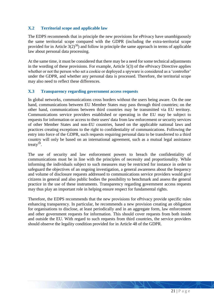## <span id="page-20-0"></span>**X.2 Territorial scope and applicable law**

The EDPS recommends that in principle the new provisions for ePrivacy have unambiguously the same territorial scope compared with the GDPR (including the extra-territorial scope provided for in Article  $3(2)^{38}$ ) and follow in principle the same approach in terms of applicable law about personal data processing.

At the same time, it must be considered that there may be a need for some technical adjustments in the wording of these provisions. For example, Article 5(3) of the ePrivacy Directive applies whether or not the person who set a cookie or deployed a spyware is considered as a 'controller' under the GDPR, and whether any personal data is processed. Therefore, the territorial scope may also need to reflect these differences.

#### <span id="page-20-1"></span>**X.3 Transparency regarding government access requests**

In global networks, communications cross borders without the users being aware. On the one hand, communications between EU Member States may pass through third countries; on the other hand, communications between third countries may be transmitted via EU territory. Communications service providers established or operating in the EU may be subject to requests for information or access to their users' data from law enforcement or security services of other Member States and non-EU countries, based on the applicable national laws and practices creating exceptions to the right to confidentiality of communications. Following the entry into force of the GDPR, such requests requiring personal data to be transferred to a third country will only be based on an international agreement, such as a mutual legal assistance treaty $39$ .

The use of security and law enforcement powers to breach the confidentiality of communications must be in line with the principles of necessity and proportionality. While informing the individuals subject to such measures may be restricted for instance in order to safeguard the objectives of an ongoing investigation, a general awareness about the frequency and volume of disclosure requests addressed to communications service providers would give citizens in general and also public bodies the possibility to benchmark and assess the general practice in the use of these instruments. Transparency regarding government access requests may thus play an important role in helping ensure respect for fundamental rights.

Therefore, the EDPS recommends that the new provisions for ePrivacy provide specific rules enhancing transparency. In particular, he recommends a new provision creating an obligation for organisations to disclose, at least periodically and in an aggregate form, law enforcement and other government requests for information. This should cover requests from both inside and outside the EU. With regard to such requests from third countries, the service providers should observe the legality condition provided for in Article 48 of the GDPR.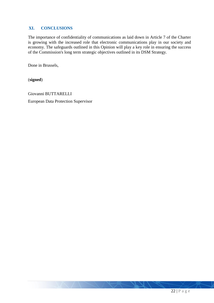## <span id="page-21-0"></span>**XI. CONCLUSIONS**

The importance of confidentiality of communications as laid down in Article 7 of the Charter is growing with the increased role that electronic communications play in our society and economy. The safeguards outlined in this Opinion will play a key role in ensuring the success of the Commission's long term strategic objectives outlined in its DSM Strategy.

Done in Brussels,

(**signed**)

Giovanni BUTTARELLI European Data Protection Supervisor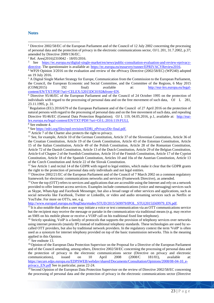#### <span id="page-22-0"></span>**Notes**

1

<sup>2</sup> Ref. Ares(2016)2310042 - 18/05/2016.

<sup>8</sup> See endnote 4.

<sup>9</sup> Se[e https://edri.org/files/epd-revision/EDRi\\_ePrivacyDir-final.pdf.](https://edri.org/files/epd-revision/EDRi_ePrivacyDir-final.pdf)

<sup>10</sup> Article 7 of the Charter also protects the right to privacy.

<sup>11</sup> See, for example, Article 10 of the German Constitution, Article 37 of the Slovenian Constitution, Article 36 of the Croatian Constitution, Article 19 of the Greek Constitution, Article 43 of the Estonian Constitution, Article 15 of the Italian Constitution, Article 49 of the Polish Constitution, Article 28 of the Romanian Constitution, Article 72 of the Danish Constitution, Article 13 of the Dutch Constitution, Article 29 of the Belgian Constitution, Article 6 of Chapter 2 of the Swedish Constitution, Article 10 of the Finnish Constitution, Article 17 of the Cypriot Constitution, Article 18 of the Spanish Constitution, Articles 10 and 10a of the Austrian Constitution, Article 13 of the Czech Constitution and Article 22 of the Slovak Constitution.

<sup>12</sup> See Article 1 and recital 14 of the GDPR with regard to legal entities, which make it clear that the GDPR grants the right to the protection of personal data only individuals and not legal entities.

<sup>13</sup> Directive 2002/21/EC of the European Parliament and of the Council of 7 March 2002 on a common regulatory framework for electronic communications networks and services (Framework Directive), as amended.

 $<sup>14</sup>$  Over the top (OTT) refers to services and applications that are accessible using the Internet and rely on a network</sup> provided to offer Internet access services. Examples include communications (voice and messaging) services such as Skype, WhatsApp and Facebook Messenger, but also a broad range of other services and applications, such as social networks like Facebook, Twitter or LinkedIn, or video and audio streaming services such as Netflix or YouTube. For more on OTTs, see, e.g.

#### [http://www.europarl.europa.eu/RegData/etudes/STUD/2015/569979/IPOL\\_STU\(2015\)569979\\_EN.pdf.](http://www.europarl.europa.eu/RegData/etudes/STUD/2015/569979/IPOL_STU(2015)569979_EN.pdf)

<sup>15</sup> It is also notable that often a user may initiate a voice or text communication via an OTT communications service but the recipient may receive the message or partake in the communication via traditional means (e.g. may receive an SMS on his mobile phone or receive a VOIP call on his traditional fixed line telephone).

<sup>16</sup> Strictly speaking, VoIP is a family of protocols that supports the provision of telephony services over networks using internet protocols (mainly IP) instead of traditional telephony standards. These technologies are used by socalled OTT providers, but also by traditional network providers. In the regulatory context the term 'VoIP' is often used as a synonym for internet telephony provided on top of the basic transmission networks. This is the meaning applied in this Opinion.

<sup>17</sup> See endnote 13.

<sup>18</sup> Opinion of the European Data Protection Supervisor on the Proposal for a Directive of the European Parliament and of the Council amending, among others, Directive 2002/58/EC concerning the processing of personal data and the protection of privacy in the electronic communications sector (Directive on privacy and electronic communications), issued on 10 April 2008 (2008/C 181/01), available at: [https://secure.edps.europa.eu/EDPSWEB/webdav/shared/Documents/Consultation/Opinions/2008/08-04-10\\_e](https://secure.edps.europa.eu/EDPSWEB/webdav/shared/Documents/Consultation/Opinions/2008/08-04-10_e-privacy_EN.pdf)[privacy\\_EN.pdf](https://secure.edps.europa.eu/EDPSWEB/webdav/shared/Documents/Consultation/Opinions/2008/08-04-10_e-privacy_EN.pdf) See in particular, paras 22-24.

<sup>19</sup> Second Opinion of the European Data Protection Supervisor on the review of Directive 2002/58/EC concerning the processing of personal data and the protection of privacy in the electronic communications sector (Directive

<sup>1</sup> Directive 2002/58/EC of the European Parliament and of the Council of 12 July 2002 concerning the processing of personal data and the protection of privacy in the electronic communications sector, OJ L 201, 31.7.2002, p.37; amended by Directive 2009/136/EC.

<sup>3</sup> See [https://ec.europa.eu/digital-single-market/en/news/public-consultation-evaluation-and-review-eprivacy](https://ec.europa.eu/digital-single-market/en/news/public-consultation-evaluation-and-review-eprivacy-directive)[directive.](https://ec.europa.eu/digital-single-market/en/news/public-consultation-evaluation-and-review-eprivacy-directive) The questionnaire is available at: [https://ec.europa.eu/eusurvey/runner/EPRIVACYReview2016.](https://ec.europa.eu/eusurvey/runner/EPRIVACYReview2016)

<sup>&</sup>lt;sup>4</sup> WP29 Opinion 3/2016 on the evaluation and review of the ePrivacy Directive (2002/58/EC) (WP240) adopted on 19 July 2016.

<sup>5</sup> A Digital Single Market Strategy for Europe, Communication from the Commission to the European Parliament, the Council, the European Economic and Social Committee, and the Committee of the Regions, 6 May 2015 (COM(2015) 192 final) available at: [http://eur-lex.europa.eu/legal](http://eur-lex.europa.eu/legal-content/EN/TXT/PDF/?uri=CELEX:52015DC0192&from=EN)[content/EN/TXT/PDF/?uri=CELEX:52015DC0192&from=EN.](http://eur-lex.europa.eu/legal-content/EN/TXT/PDF/?uri=CELEX:52015DC0192&from=EN)

<sup>6</sup> Directive 95/46/EC of the European Parliament and of the Council of 24 October 1995 on the protection of individuals with regard to the processing of personal data and on the free movement of such data, OJ L 281, 23.11.1995, p. 31.

<sup>7</sup> Regulation (EU) 2016/679 of the European Parliament and of the Council of 27 April 2016 on the protection of natural persons with regard to the processing of personal data and on the free movement of such data, and repealing Directive 95/46/EC (General Data Protection Regulation); OJ L 119, 04.05.2016, p.1, available at: [http://eur](http://eur-lex.europa.eu/legal-content/EN/TXT/PDF/?uri=OJ:L:2016:119:FULL)[lex.europa.eu/legal-content/EN/TXT/PDF/?uri=OJ:L:2016:119:FULL](http://eur-lex.europa.eu/legal-content/EN/TXT/PDF/?uri=OJ:L:2016:119:FULL)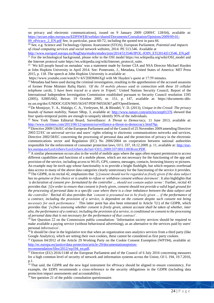on privacy and electronic communications), issued on 9 January 2009 (2009/C 128/04), available at: [https://secure.edps.europa.eu/EDPSWEB/webdav/shared/Documents/Consultation/Opinions/2009/09-01-](https://secure.edps.europa.eu/EDPSWEB/webdav/shared/Documents/Consultation/Opinions/2009/09-01-09_ePricacy_2_EN.pdf)

[09\\_ePricacy\\_2\\_EN.pdf](https://secure.edps.europa.eu/EDPSWEB/webdav/shared/Documents/Consultation/Opinions/2009/09-01-09_ePricacy_2_EN.pdf) See, in particular, paras 60-72, including the quoted text in para 66. <sup>20</sup> See, e.g. Science and Technology Options Assessment (STOA), European Parliament, *Potential and impacts of cloud computing services and social network websites*, 2014. PE 513.546. Available at

[http://www.europarl.europa.eu/RegData/etudes/etudes/join/2014/513546/IPOL-JOIN\\_ET\(2014\)513546\\_EN.pdf](http://www.europarl.europa.eu/RegData/etudes/etudes/join/2014/513546/IPOL-JOIN_ET(2014)513546_EN.pdf) <sup>21</sup> For the technological background, please refer to the OSI model https://en.wikipedia.org/wiki/OSI\_model and the Internet protocol suite https://en.wikipedia.org/wiki/Internet\_protocol\_suite.

 $22$  'We kill people based on metadata' was a statement made by former CIA and NSA Director Michael Hayden at John Hopkins University in April 2014. See: Pomerantz, J., Metadata, United States of America: MIT Press 2015, p. 118. The speech at John Hopkins University is available at:

https://www.youtube.com/watch?v=kV2HDM86XgI with Mr Hayden's quote at 17:59 minutes.

<sup>23</sup> Metadata had been used during the criminal investigation, resulting in the apprehension of the accused assassins of former Prime Minister Rafiq Hariri. *'Of the 10 mobile phones used in connection with these 10 cellular telephone cards, 5 have been traced to a store in Tripoli.*' United Nations Security Council, Report of the International Independent Investigation Commission established pursuant to Security Council resolution 1595 (2005), S2005/662, Beirut: 19 October 2005, nr. 151, p. 147, available at: https://documents-ddsny.un.org/doc/UNDOC/GEN/N05/563/67/PDF/N0556367.pdf?OpenElement.

<sup>24</sup> De Montjoye, Y. A., Hidalgo, C. A., Verleysen, M., & Blondel, V. D. (2013), *Unique in the Crowd: The privacy bounds of human mobility*, Nature SRep, 3, available at:<http://www.nature.com/articles/srep01376> showed that four spatio-temporal points are enough to uniquely identify 95% of the individuals.

<sup>25</sup> New York Times Editorial Board, Surveillance: *A Threat to Democracy,* 11 June 2013, available at: [http://www.nytimes.com/2013/06/12/opinion/surveillance-a-threat-to-democracy.html?hp.](http://www.nytimes.com/2013/06/12/opinion/surveillance-a-threat-to-democracy.html?hp)

<sup>26</sup>Directive 2009/136/EC of the European Parliament and of the Council of 25 November 2009 amending Directive 2002/22/EC on universal service and users' rights relating to electronic communications networks and services, Directive 2002/58/EC concerning the processing of personal data and the protection of privacy in the electronic communications sector and Regulation (EC) No 2006/2004 on cooperation between national authorities responsible for the enforcement of consumer protection laws, OJ L 337, 18.12.2009. p. 11, available at[: http://eur](http://eur-lex.europa.eu/LexUriServ/LexUriServ.do?uri=OJ:L:2009:337:0011:0036:en:PDF)[lex.europa.eu/LexUriServ/LexUriServ.do?uri=OJ:L:2009:337:0011:0036:en:PDF.](http://eur-lex.europa.eu/LexUriServ/LexUriServ.do?uri=OJ:L:2009:337:0011:0036:en:PDF)

 $27$  A similar phenomenon occurs also in the world of mobile apps where the apps often request permission to access different capabilities and functions of a mobile phone, which are not necessary for the functioning of the app and provision of the service, including access to Wi-Fi, GPS, camera, messages, contacts, browsing history or pictures. An example may be torch app whose functionality is to provide a bright flashlight, but which requests overbroad data access to many of the above data categories clearly unnecessary for the functioning of the service it provides. <sup>28</sup>The GDPR, in its recital 42, emphasizes that *'[c]onsent should not be regarded as freely given if the data subject has no genuine or free choice or is unable to refuse or withdraw consent without detriment'*. It also highlights that *'a declaration of consent pre- formulated by the controller ... should not contain unfair terms'.* Further, recital 43 provides that *'[i]n order to ensure that consent is freely given, consent should not provide a valid legal ground for the processing of personal data in a specific case where there is a clear imbalance between the data subject and the controller.'* Recital 43 also provides that *'consent is presumed not to be freely given … if the performance of a contract, including the provision of a service, is dependent on the consent despite such consent not being necessary for such performance.'* This latter point has also been reiterated in Article 7(1) of the GDPR, which provides that *'[w]hen assessing whether consent is freely given, utmost account shall be taken of whether, inter alia, the performance of a contract, including the provision of a service, is conditional on consent to the processing of personal data that is not necessary for the performance of that contract'.*

 $29$  See Question 22 on the Commission public consultation: 'Information society services should be required to make available a paying service (without behavioural advertising), as an alternative to the services paid by users' personal information'.

 $30$  It should be clear in the legislative text that when an organization uses analytics services from a third party (like Google Analytics), which are setting their own cookies, these cannot be considered as first party cookies.

<sup>31</sup> Opinion 04/2012 of the Article 29 Working Party on the Cookie Consent Exemption (WP194), available at: [http://ec.europa.eu/justice/data-protection/article-29/documentationopinion-](http://ec.europa.eu/justice/data-protection/article-29/documentationopinion-recommendation/files/2012/wp194_en.pdf)

[recommendation/files/2012/wp194\\_en.pdf.](http://ec.europa.eu/justice/data-protection/article-29/documentationopinion-recommendation/files/2012/wp194_en.pdf)

<u>.</u>

<sup>32</sup> Directive (EU) 2016/1148 of the European Parliament and of the Council of 6 July 2016 concerning measures for a high common level of security of network and information systems across the Union, OJ L 194, 19.7.2016, p.1.

<sup>33</sup> That said, the GDPR and the new legal instrument for ePrivacy should be aligned to ensure consistency. For example, the EDPS recommends a cross-reference to the security obligations in the GDPR (including data protection impact assessments and accountability).

 $34$  See question 21 of the public consultation questionnaire.